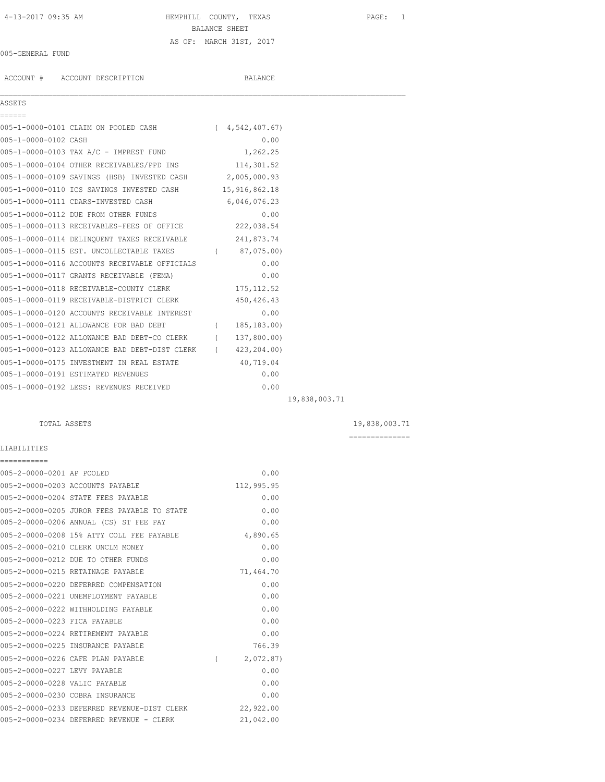# 4-13-2017 09:35 AM HEMPHILL COUNTY, TEXAS PAGE: 1 BALANCE SHEET AS OF: MARCH 31ST, 2017

## 005-GENERAL FUND

ACCOUNT # ACCOUNT DESCRIPTION BALANCE

# ASSETS

| ------               |                                                            |              |  |
|----------------------|------------------------------------------------------------|--------------|--|
|                      | 005-1-0000-0101 CLAIM ON POOLED CASH (4,542,407.67)        |              |  |
| 005-1-0000-0102 CASH |                                                            | 0.00         |  |
|                      | 005-1-0000-0103 TAX A/C - IMPREST FUND                     | 1,262.25     |  |
|                      | 005-1-0000-0104 OTHER RECEIVABLES/PPD INS 114,301.52       |              |  |
|                      | 005-1-0000-0109 SAVINGS (HSB) INVESTED CASH 2,005,000.93   |              |  |
|                      | 005-1-0000-0110 ICS SAVINGS INVESTED CASH 15,916,862.18    |              |  |
|                      | 005-1-0000-0111 CDARS-INVESTED CASH                        | 6,046,076.23 |  |
|                      | 005-1-0000-0112 DUE FROM OTHER FUNDS                       | 0.00         |  |
|                      | 005-1-0000-0113 RECEIVABLES-FEES OF OFFICE 222,038.54      |              |  |
|                      | 005-1-0000-0114 DELINQUENT TAXES RECEIVABLE 241,873.74     |              |  |
|                      | 005-1-0000-0115 EST. UNCOLLECTABLE TAXES (87,075.00)       |              |  |
|                      | 005-1-0000-0116 ACCOUNTS RECEIVABLE OFFICIALS              | 0.00         |  |
|                      | 005-1-0000-0117 GRANTS RECEIVABLE (FEMA)                   | 0.00         |  |
|                      | 005-1-0000-0118 RECEIVABLE-COUNTY CLERK 175,112.52         |              |  |
|                      | 005-1-0000-0119 RECEIVABLE-DISTRICT CLERK 450,426.43       |              |  |
|                      | 005-1-0000-0120 ACCOUNTS RECEIVABLE INTEREST               | 0.00         |  |
|                      | 005-1-0000-0121 ALLOWANCE FOR BAD DEBT (185,183.00)        |              |  |
|                      | 005-1-0000-0122 ALLOWANCE BAD DEBT-CO CLERK (137,800.00)   |              |  |
|                      | 005-1-0000-0123 ALLOWANCE BAD DEBT-DIST CLERK (423,204.00) |              |  |
|                      | 005-1-0000-0175 INVESTMENT IN REAL ESTATE                  | 40,719.04    |  |
|                      | 005-1-0000-0191 ESTIMATED REVENUES                         | 0.00         |  |
|                      | 005-1-0000-0192 LESS: REVENUES RECEIVED                    | 0.00         |  |
|                      |                                                            |              |  |

 $\mathcal{L}_\mathcal{L} = \mathcal{L}_\mathcal{L}$ 

19,838,003.71

TOTAL ASSETS 19,838,003.71

==============

# LIABILITIES

| ===========                   |                                             |          |            |
|-------------------------------|---------------------------------------------|----------|------------|
| 005-2-0000-0201 AP POOLED     |                                             |          | 0.00       |
|                               | 005-2-0000-0203 ACCOUNTS PAYABLE            |          | 112,995.95 |
|                               | 005-2-0000-0204 STATE FEES PAYABLE          |          | 0.00       |
|                               | 005-2-0000-0205 JUROR FEES PAYABLE TO STATE |          | 0.00       |
|                               | 005-2-0000-0206 ANNUAL (CS) ST FEE PAY      |          | 0.00       |
|                               | 005-2-0000-0208 15% ATTY COLL FEE PAYABLE   |          | 4,890.65   |
|                               | 005-2-0000-0210 CLERK UNCLM MONEY           |          | 0.00       |
|                               | 005-2-0000-0212 DUE TO OTHER FUNDS          |          | 0.00       |
|                               | 005-2-0000-0215 RETAINAGE PAYABLE           |          | 71,464.70  |
|                               | 005-2-0000-0220 DEFERRED COMPENSATION       |          | 0.00       |
|                               | 005-2-0000-0221 UNEMPLOYMENT PAYABLE        |          | 0.00       |
|                               | 005-2-0000-0222 WITHHOLDING PAYABLE         |          | 0.00       |
| 005-2-0000-0223 FICA PAYABLE  |                                             |          | 0.00       |
|                               | 005-2-0000-0224 RETIREMENT PAYABLE          |          | 0.00       |
|                               | 005-2-0000-0225 INSURANCE PAYABLE           |          | 766.39     |
|                               | 005-2-0000-0226 CAFE PLAN PAYABLE           | $\left($ | 2,072.87   |
| 005-2-0000-0227 LEVY PAYABLE  |                                             |          | 0.00       |
| 005-2-0000-0228 VALIC PAYABLE |                                             |          | 0.00       |
|                               | 005-2-0000-0230 COBRA INSURANCE             |          | 0.00       |
|                               | 005-2-0000-0233 DEFERRED REVENUE-DIST CLERK |          | 22,922.00  |
|                               | 005-2-0000-0234 DEFERRED REVENUE - CLERK    |          | 21,042.00  |
|                               |                                             |          |            |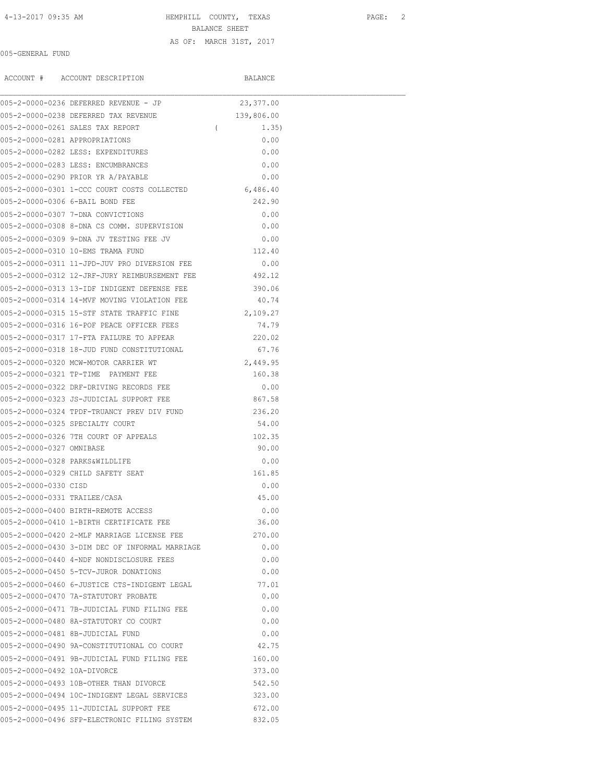4-13-2017 09:35 AM HEMPHILL COUNTY, TEXAS PAGE: 2

BALANCE SHEET

## AS OF: MARCH 31ST, 2017

005-GENERAL FUND

ACCOUNT # ACCOUNT DESCRIPTION BALANCE

|                                | 005-2-0000-0236 DEFERRED REVENUE - JP          | 23, 377.00        |  |
|--------------------------------|------------------------------------------------|-------------------|--|
|                                | 005-2-0000-0238 DEFERRED TAX REVENUE           | 139,806.00        |  |
|                                | 005-2-0000-0261 SALES TAX REPORT               | $\left($<br>1.35) |  |
| 005-2-0000-0281 APPROPRIATIONS |                                                | 0.00              |  |
|                                | 005-2-0000-0282 LESS: EXPENDITURES             | 0.00              |  |
|                                | 005-2-0000-0283 LESS: ENCUMBRANCES             | 0.00              |  |
|                                | 005-2-0000-0290 PRIOR YR A/PAYABLE             | 0.00              |  |
|                                | 005-2-0000-0301 1-CCC COURT COSTS COLLECTED    | 6,486.40          |  |
|                                | 005-2-0000-0306 6-BAIL BOND FEE                | 242.90            |  |
|                                | 005-2-0000-0307 7-DNA CONVICTIONS              | 0.00              |  |
|                                | 005-2-0000-0308 8-DNA CS COMM. SUPERVISION     | 0.00              |  |
|                                | 005-2-0000-0309 9-DNA JV TESTING FEE JV        | 0.00              |  |
|                                | 005-2-0000-0310 10-EMS TRAMA FUND              | 112.40            |  |
|                                | 005-2-0000-0311 11-JPD-JUV PRO DIVERSION FEE   | 0.00              |  |
|                                | 005-2-0000-0312 12-JRF-JURY REIMBURSEMENT FEE  | 492.12            |  |
|                                | 005-2-0000-0313 13-IDF INDIGENT DEFENSE FEE    | 390.06            |  |
|                                | 005-2-0000-0314 14-MVF MOVING VIOLATION FEE    | 40.74             |  |
|                                | 005-2-0000-0315 15-STF STATE TRAFFIC FINE      | 2,109.27          |  |
|                                | 005-2-0000-0316 16-POF PEACE OFFICER FEES      | 74.79             |  |
|                                | 005-2-0000-0317 17-FTA FAILURE TO APPEAR       | 220.02            |  |
|                                | 005-2-0000-0318 18-JUD FUND CONSTITUTIONAL     | 67.76             |  |
|                                | 005-2-0000-0320 MCW-MOTOR CARRIER WT           | 2,449.95          |  |
|                                | 005-2-0000-0321 TP-TIME PAYMENT FEE            | 160.38            |  |
|                                | 005-2-0000-0322 DRF-DRIVING RECORDS FEE        | 0.00              |  |
|                                | 005-2-0000-0323 JS-JUDICIAL SUPPORT FEE        | 867.58            |  |
|                                | 005-2-0000-0324 TPDF-TRUANCY PREV DIV FUND     | 236.20            |  |
|                                | 005-2-0000-0325 SPECIALTY COURT                | 54.00             |  |
|                                | 005-2-0000-0326 7TH COURT OF APPEALS           | 102.35            |  |
| 005-2-0000-0327 OMNIBASE       |                                                | 90.00             |  |
| 005-2-0000-0328 PARKS&WILDLIFE |                                                | 0.00              |  |
|                                | 005-2-0000-0329 CHILD SAFETY SEAT              | 161.85            |  |
| 005-2-0000-0330 CISD           |                                                | 0.00              |  |
| 005-2-0000-0331 TRAILEE/CASA   |                                                | 45.00             |  |
|                                | 005-2-0000-0400 BIRTH-REMOTE ACCESS            | 0.00              |  |
|                                | 005-2-0000-0410 1-BIRTH CERTIFICATE FEE        | 36.00             |  |
|                                | 005-2-0000-0420 2-MLF MARRIAGE LICENSE FEE     | 270.00            |  |
|                                | 005-2-0000-0430 3-DIM DEC OF INFORMAL MARRIAGE | 0.00              |  |
|                                | 005-2-0000-0440 4-NDF NONDISCLOSURE FEES       | 0.00              |  |
|                                | 005-2-0000-0450 5-TCV-JUROR DONATIONS          | 0.00              |  |
|                                | 005-2-0000-0460 6-JUSTICE CTS-INDIGENT LEGAL   | 77.01             |  |
|                                | 005-2-0000-0470 7A-STATUTORY PROBATE           | 0.00              |  |
|                                | 005-2-0000-0471 7B-JUDICIAL FUND FILING FEE    | 0.00              |  |
|                                | 005-2-0000-0480 8A-STATUTORY CO COURT          | 0.00              |  |
|                                | 005-2-0000-0481 8B-JUDICIAL FUND               | 0.00              |  |
|                                | 005-2-0000-0490 9A-CONSTITUTIONAL CO COURT     | 42.75             |  |
|                                | 005-2-0000-0491 9B-JUDICIAL FUND FILING FEE    | 160.00            |  |
| 005-2-0000-0492 10A-DIVORCE    |                                                | 373.00            |  |
|                                | 005-2-0000-0493 10B-OTHER THAN DIVORCE         | 542.50            |  |
|                                | 005-2-0000-0494 10C-INDIGENT LEGAL SERVICES    | 323.00            |  |
|                                | 005-2-0000-0495 11-JUDICIAL SUPPORT FEE        | 672.00            |  |
|                                | 005-2-0000-0496 SFP-ELECTRONIC FILING SYSTEM   | 832.05            |  |
|                                |                                                |                   |  |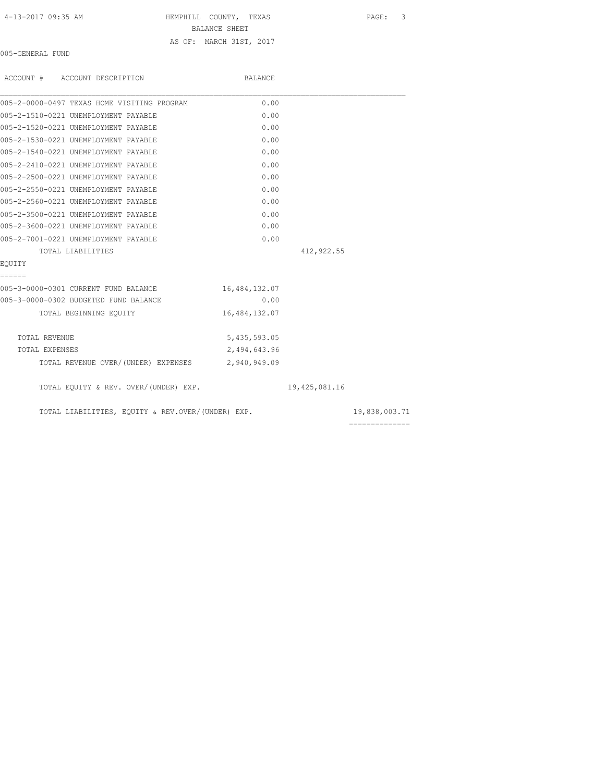| 4-13-2017 09:35 AM |  |  |
|--------------------|--|--|
|--------------------|--|--|

HEMPHILL COUNTY, TEXAS PAGE: 3

BALANCE SHEET

AS OF: MARCH 31ST, 2017

005-GENERAL FUND

| ACCOUNT # ACCOUNT DESCRIPTION                     | BALANCE       |               |               |
|---------------------------------------------------|---------------|---------------|---------------|
| 005-2-0000-0497 TEXAS HOME VISITING PROGRAM       | 0.00          |               |               |
| 005-2-1510-0221 UNEMPLOYMENT PAYABLE              | 0.00          |               |               |
| 005-2-1520-0221 UNEMPLOYMENT PAYABLE              | 0.00          |               |               |
| 005-2-1530-0221 UNEMPLOYMENT PAYABLE              | 0.00          |               |               |
| 005-2-1540-0221 UNEMPLOYMENT PAYABLE              | 0.00          |               |               |
| 005-2-2410-0221 UNEMPLOYMENT PAYABLE              | 0.00          |               |               |
| 005-2-2500-0221 UNEMPLOYMENT PAYABLE              | 0.00          |               |               |
| 005-2-2550-0221 UNEMPLOYMENT PAYABLE              | 0.00          |               |               |
| 005-2-2560-0221 UNEMPLOYMENT PAYABLE              | 0.00          |               |               |
| 005-2-3500-0221 UNEMPLOYMENT PAYABLE              | 0.00          |               |               |
| 005-2-3600-0221 UNEMPLOYMENT PAYABLE              | 0.00          |               |               |
| 005-2-7001-0221 UNEMPLOYMENT PAYABLE              | 0.00          |               |               |
| TOTAL LIABILITIES                                 |               | 412,922.55    |               |
| EOUITY                                            |               |               |               |
| ======                                            |               |               |               |
| 005-3-0000-0301 CURRENT FUND BALANCE              | 16,484,132.07 |               |               |
| 005-3-0000-0302 BUDGETED FUND BALANCE             | 0.00          |               |               |
| TOTAL BEGINNING EQUITY                            | 16,484,132.07 |               |               |
| TOTAL REVENUE                                     | 5,435,593.05  |               |               |
| TOTAL EXPENSES                                    | 2,494,643.96  |               |               |
| TOTAL REVENUE OVER/(UNDER) EXPENSES 2,940,949.09  |               |               |               |
| TOTAL EQUITY & REV. OVER/(UNDER) EXP.             |               | 19,425,081.16 |               |
| TOTAL LIABILITIES, EQUITY & REV.OVER/(UNDER) EXP. |               |               | 19,838,003.71 |
|                                                   |               |               |               |

==============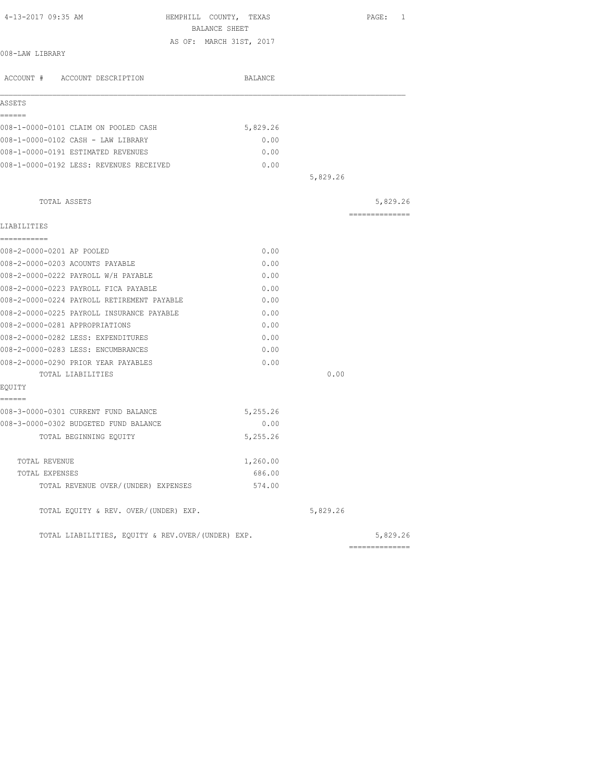| BALANCE SHEET                                     |          |          |                 |
|---------------------------------------------------|----------|----------|-----------------|
| AS OF: MARCH 31ST, 2017                           |          |          |                 |
| 008-LAW LIBRARY                                   |          |          |                 |
| ACCOUNT # ACCOUNT DESCRIPTION                     | BALANCE  |          |                 |
| ASSETS                                            |          |          |                 |
| ======                                            |          |          |                 |
| 008-1-0000-0101 CLAIM ON POOLED CASH              | 5,829.26 |          |                 |
| 008-1-0000-0102 CASH - LAW LIBRARY                | 0.00     |          |                 |
| 008-1-0000-0191 ESTIMATED REVENUES                | 0.00     |          |                 |
| 008-1-0000-0192 LESS: REVENUES RECEIVED           | 0.00     |          |                 |
|                                                   |          | 5,829.26 |                 |
| TOTAL ASSETS                                      |          |          | 5,829.26        |
|                                                   |          |          | --------------- |
| LIABILITIES                                       |          |          |                 |
| ===========                                       |          |          |                 |
| 008-2-0000-0201 AP POOLED                         | 0.00     |          |                 |
| 008-2-0000-0203 ACOUNTS PAYABLE                   | 0.00     |          |                 |
| 008-2-0000-0222 PAYROLL W/H PAYABLE               | 0.00     |          |                 |
| 008-2-0000-0223 PAYROLL FICA PAYABLE              | 0.00     |          |                 |
| 008-2-0000-0224 PAYROLL RETIREMENT PAYABLE        | 0.00     |          |                 |
| 008-2-0000-0225 PAYROLL INSURANCE PAYABLE         | 0.00     |          |                 |
| 008-2-0000-0281 APPROPRIATIONS                    | 0.00     |          |                 |
| 008-2-0000-0282 LESS: EXPENDITURES                | 0.00     |          |                 |
| 008-2-0000-0283 LESS: ENCUMBRANCES                | 0.00     |          |                 |
| 008-2-0000-0290 PRIOR YEAR PAYABLES               | 0.00     |          |                 |
| TOTAL LIABILITIES                                 |          | 0.00     |                 |
| EQUITY                                            |          |          |                 |
| ======                                            |          |          |                 |
| 008-3-0000-0301 CURRENT FUND BALANCE              | 5,255.26 |          |                 |
| 008-3-0000-0302 BUDGETED FUND BALANCE             | 0.00     |          |                 |
| TOTAL BEGINNING EQUITY                            | 5,255.26 |          |                 |
| TOTAL REVENUE                                     | 1,260.00 |          |                 |
| TOTAL EXPENSES                                    | 686.00   |          |                 |
| TOTAL REVENUE OVER/(UNDER) EXPENSES               | 574.00   |          |                 |
| TOTAL EQUITY & REV. OVER/(UNDER) EXP.             |          | 5,829.26 |                 |
| TOTAL LIABILITIES, EQUITY & REV.OVER/(UNDER) EXP. |          |          | 5,829.26        |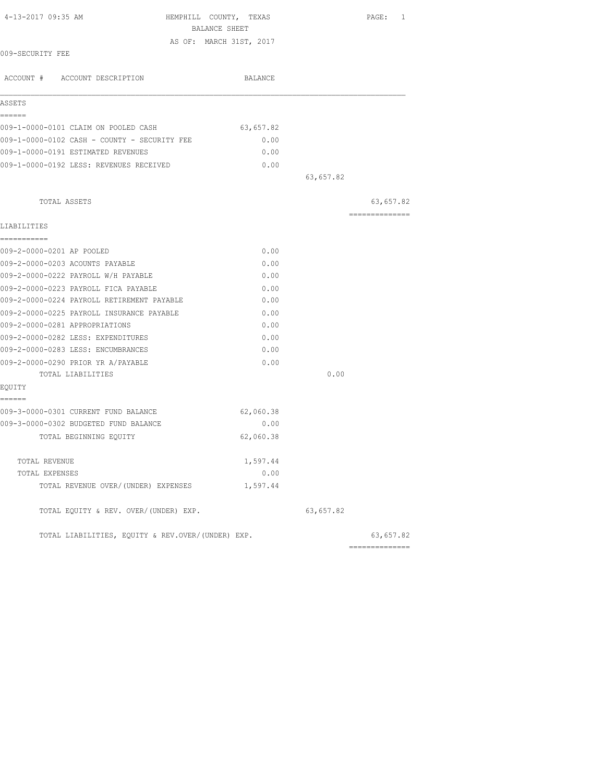| 4-13-2017 09:35 AM                                | HEMPHILL COUNTY, TEXAS<br>BALANCE SHEET |           |                |
|---------------------------------------------------|-----------------------------------------|-----------|----------------|
|                                                   |                                         |           |                |
| 009-SECURITY FEE                                  | AS OF: MARCH 31ST, 2017                 |           |                |
|                                                   |                                         |           |                |
| ACCOUNT # ACCOUNT DESCRIPTION                     | BALANCE                                 |           |                |
| ASSETS                                            |                                         |           |                |
| ------                                            |                                         |           |                |
| 009-1-0000-0101 CLAIM ON POOLED CASH              | 63,657.82                               |           |                |
| 009-1-0000-0102 CASH - COUNTY - SECURITY FEE      | 0.00                                    |           |                |
| 009-1-0000-0191 ESTIMATED REVENUES                | 0.00                                    |           |                |
| 009-1-0000-0192 LESS: REVENUES RECEIVED           | 0.00                                    |           |                |
|                                                   |                                         | 63,657.82 |                |
| TOTAL ASSETS                                      |                                         |           | 63,657.82      |
|                                                   |                                         |           | ============== |
| LIABILITIES<br>===========                        |                                         |           |                |
| 009-2-0000-0201 AP POOLED                         | 0.00                                    |           |                |
| 009-2-0000-0203 ACOUNTS PAYABLE                   | 0.00                                    |           |                |
| 009-2-0000-0222 PAYROLL W/H PAYABLE               | 0.00                                    |           |                |
| 009-2-0000-0223 PAYROLL FICA PAYABLE              | 0.00                                    |           |                |
| 009-2-0000-0224 PAYROLL RETIREMENT PAYABLE        | 0.00                                    |           |                |
| 009-2-0000-0225 PAYROLL INSURANCE PAYABLE         | 0.00                                    |           |                |
| 009-2-0000-0281 APPROPRIATIONS                    | 0.00                                    |           |                |
| 009-2-0000-0282 LESS: EXPENDITURES                | 0.00                                    |           |                |
| 009-2-0000-0283 LESS: ENCUMBRANCES                | 0.00                                    |           |                |
| 009-2-0000-0290 PRIOR YR A/PAYABLE                | 0.00                                    |           |                |
| TOTAL LIABILITIES                                 |                                         | 0.00      |                |
| EQUITY                                            |                                         |           |                |
| ======<br>009-3-0000-0301 CURRENT FUND BALANCE    | 62,060.38                               |           |                |
| 009-3-0000-0302 BUDGETED FUND BALANCE             | 0.00                                    |           |                |
| TOTAL BEGINNING EQUITY                            | 62,060.38                               |           |                |
| TOTAL REVENUE                                     | 1,597.44                                |           |                |
| TOTAL EXPENSES                                    | 0.00                                    |           |                |
| TOTAL REVENUE OVER/(UNDER) EXPENSES               | 1,597.44                                |           |                |
| TOTAL EQUITY & REV. OVER/(UNDER) EXP.             |                                         | 63,657.82 |                |
| TOTAL LIABILITIES, EQUITY & REV.OVER/(UNDER) EXP. |                                         |           | 63,657.82      |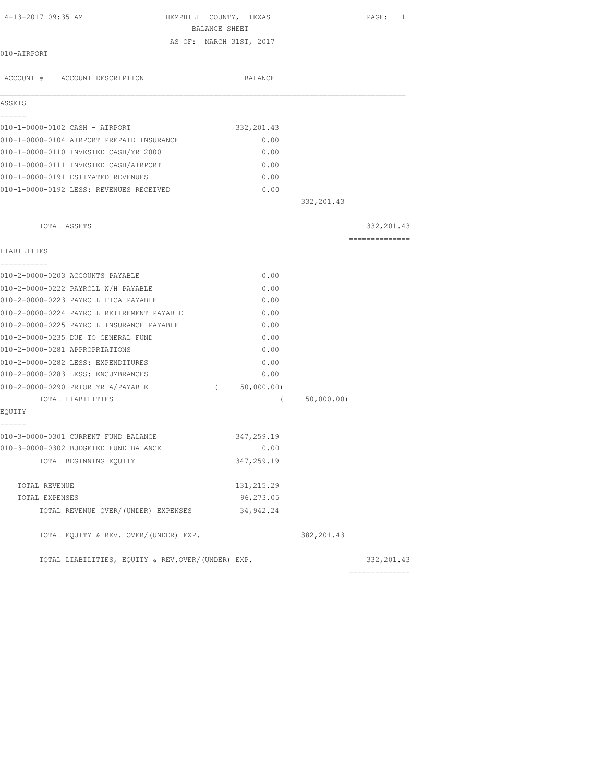| 4-13-2017 09:35 AM                                | HEMPHILL COUNTY, TEXAS<br>BALANCE SHEET |             | PAGE: 1                        |
|---------------------------------------------------|-----------------------------------------|-------------|--------------------------------|
|                                                   | AS OF: MARCH 31ST, 2017                 |             |                                |
| 010-AIRPORT                                       |                                         |             |                                |
| ACCOUNT # ACCOUNT DESCRIPTION                     | BALANCE                                 |             |                                |
| ASSETS                                            |                                         |             |                                |
| ======<br>010-1-0000-0102 CASH - AIRPORT          | 332, 201.43                             |             |                                |
| 010-1-0000-0104 AIRPORT PREPAID INSURANCE         | 0.00                                    |             |                                |
| 010-1-0000-0110 INVESTED CASH/YR 2000             | 0.00                                    |             |                                |
| 010-1-0000-0111 INVESTED CASH/AIRPORT             | 0.00                                    |             |                                |
| 010-1-0000-0191 ESTIMATED REVENUES                | 0.00                                    |             |                                |
| 010-1-0000-0192 LESS: REVENUES RECEIVED           | 0.00                                    |             |                                |
|                                                   |                                         | 332, 201.43 |                                |
| TOTAL ASSETS                                      |                                         |             |                                |
|                                                   |                                         |             | 332, 201.43<br>==============  |
| LIABILITIES                                       |                                         |             |                                |
| -----------                                       |                                         |             |                                |
| 010-2-0000-0203 ACCOUNTS PAYABLE                  | 0.00                                    |             |                                |
| 010-2-0000-0222 PAYROLL W/H PAYABLE               | 0.00                                    |             |                                |
| 010-2-0000-0223 PAYROLL FICA PAYABLE              | 0.00                                    |             |                                |
| 010-2-0000-0224 PAYROLL RETIREMENT PAYABLE        | 0.00                                    |             |                                |
| 010-2-0000-0225 PAYROLL INSURANCE PAYABLE         | 0.00                                    |             |                                |
| 010-2-0000-0235 DUE TO GENERAL FUND               | 0.00                                    |             |                                |
| 010-2-0000-0281 APPROPRIATIONS                    | 0.00                                    |             |                                |
| 010-2-0000-0282 LESS: EXPENDITURES                | 0.00                                    |             |                                |
| 010-2-0000-0283 LESS: ENCUMBRANCES                | 0.00                                    |             |                                |
| 010-2-0000-0290 PRIOR YR A/PAYABLE                | 50,000.00)<br>$\left($                  |             |                                |
| TOTAL LIABILITIES<br>EQUITY                       | $\left($                                | 50,000.00)  |                                |
| ======                                            |                                         |             |                                |
| 010-3-0000-0301 CURRENT FUND BALANCE              | 347,259.19                              |             |                                |
| 010-3-0000-0302 BUDGETED FUND BALANCE             | 0.00                                    |             |                                |
| TOTAL BEGINNING EQUITY                            | 347,259.19                              |             |                                |
| TOTAL REVENUE                                     | 131, 215.29                             |             |                                |
| TOTAL EXPENSES                                    | 96,273.05                               |             |                                |
| TOTAL REVENUE OVER/(UNDER) EXPENSES               | 34, 942.24                              |             |                                |
| TOTAL EQUITY & REV. OVER/(UNDER) EXP.             |                                         | 382, 201.43 |                                |
| TOTAL LIABILITIES, EQUITY & REV.OVER/(UNDER) EXP. |                                         |             | 332, 201.43<br>--------------- |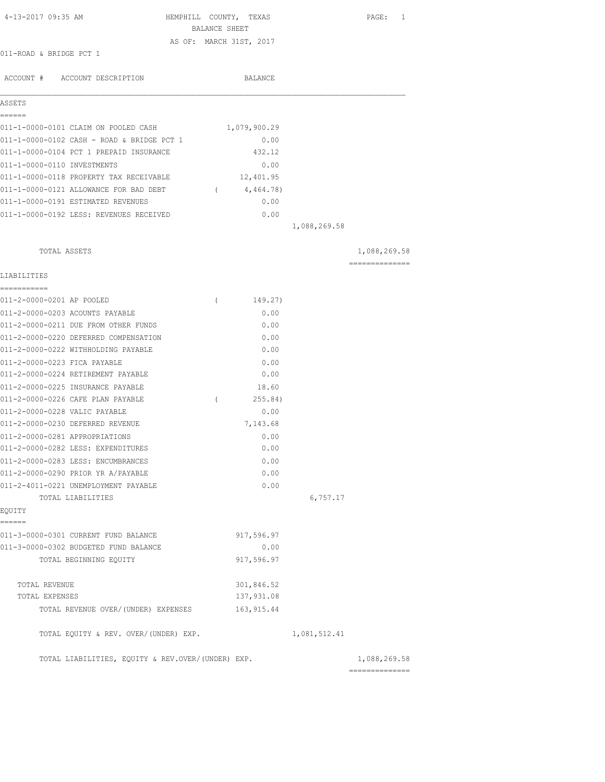| 4-13-2017 09:35 AM                             | HEMPHILL COUNTY, TEXAS<br>BALANCE SHEET |              |              | PAGE: 1        |
|------------------------------------------------|-----------------------------------------|--------------|--------------|----------------|
|                                                | AS OF: MARCH 31ST, 2017                 |              |              |                |
| 011-ROAD & BRIDGE PCT 1                        |                                         |              |              |                |
|                                                |                                         |              |              |                |
| ACCOUNT # ACCOUNT DESCRIPTION                  |                                         | BALANCE      |              |                |
|                                                |                                         |              |              |                |
| ASSETS                                         |                                         |              |              |                |
| ======<br>011-1-0000-0101 CLAIM ON POOLED CASH |                                         | 1,079,900.29 |              |                |
| 011-1-0000-0102 CASH - ROAD & BRIDGE PCT 1     |                                         | 0.00         |              |                |
| 011-1-0000-0104 PCT 1 PREPAID INSURANCE        |                                         | 432.12       |              |                |
| 011-1-0000-0110 INVESTMENTS                    |                                         | 0.00         |              |                |
| 011-1-0000-0118 PROPERTY TAX RECEIVABLE        |                                         | 12,401.95    |              |                |
| 011-1-0000-0121 ALLOWANCE FOR BAD DEBT         | $\sqrt{2}$                              | 4,464.78)    |              |                |
| 011-1-0000-0191 ESTIMATED REVENUES             |                                         | 0.00         |              |                |
| 011-1-0000-0192 LESS: REVENUES RECEIVED        |                                         | 0.00         |              |                |
|                                                |                                         |              | 1,088,269.58 |                |
|                                                |                                         |              |              |                |
| TOTAL ASSETS                                   |                                         |              |              | 1,088,269.58   |
|                                                |                                         |              |              | ============== |
| LIABILITIES                                    |                                         |              |              |                |
| 011-2-0000-0201 AP POOLED                      | $\left($                                | 149.27)      |              |                |
| 011-2-0000-0203 ACOUNTS PAYABLE                |                                         | 0.00         |              |                |
| 011-2-0000-0211 DUE FROM OTHER FUNDS           |                                         | 0.00         |              |                |
| 011-2-0000-0220 DEFERRED COMPENSATION          |                                         | 0.00         |              |                |
| 011-2-0000-0222 WITHHOLDING PAYABLE            |                                         | 0.00         |              |                |
| 011-2-0000-0223 FICA PAYABLE                   |                                         | 0.00         |              |                |
| 011-2-0000-0224 RETIREMENT PAYABLE             |                                         | 0.00         |              |                |
| 011-2-0000-0225 INSURANCE PAYABLE              |                                         | 18.60        |              |                |
| 011-2-0000-0226 CAFE PLAN PAYABLE              | $\left($                                | 255.84)      |              |                |
| 011-2-0000-0228 VALIC PAYABLE                  |                                         | 0.00         |              |                |
| 011-2-0000-0230 DEFERRED REVENUE               |                                         | 7,143.68     |              |                |
| 011-2-0000-0281 APPROPRIATIONS                 |                                         | 0.00         |              |                |
| 011-2-0000-0282 LESS: EXPENDITURES             |                                         | 0.00         |              |                |
| 011-2-0000-0283 LESS: ENCUMBRANCES             |                                         | 0.00         |              |                |
| 011-2-0000-0290 PRIOR YR A/PAYABLE             |                                         | 0.00         |              |                |
| 011-2-4011-0221 UNEMPLOYMENT PAYABLE           |                                         | 0.00         |              |                |
| TOTAL LIABILITIES                              |                                         |              | 6,757.17     |                |
| EQUITY<br>======                               |                                         |              |              |                |
| 011-3-0000-0301 CURRENT FUND BALANCE           |                                         | 917,596.97   |              |                |
| 011-3-0000-0302 BUDGETED FUND BALANCE          |                                         | 0.00         |              |                |
| TOTAL BEGINNING EOUITY                         |                                         | 917,596.97   |              |                |
| TOTAL REVENUE                                  |                                         | 301,846.52   |              |                |
| TOTAL EXPENSES                                 |                                         | 137,931.08   |              |                |
| TOTAL REVENUE OVER/(UNDER) EXPENSES            |                                         | 163, 915.44  |              |                |
|                                                |                                         |              |              |                |
| TOTAL EQUITY & REV. OVER/(UNDER) EXP.          |                                         |              | 1,081,512.41 |                |
|                                                |                                         |              |              |                |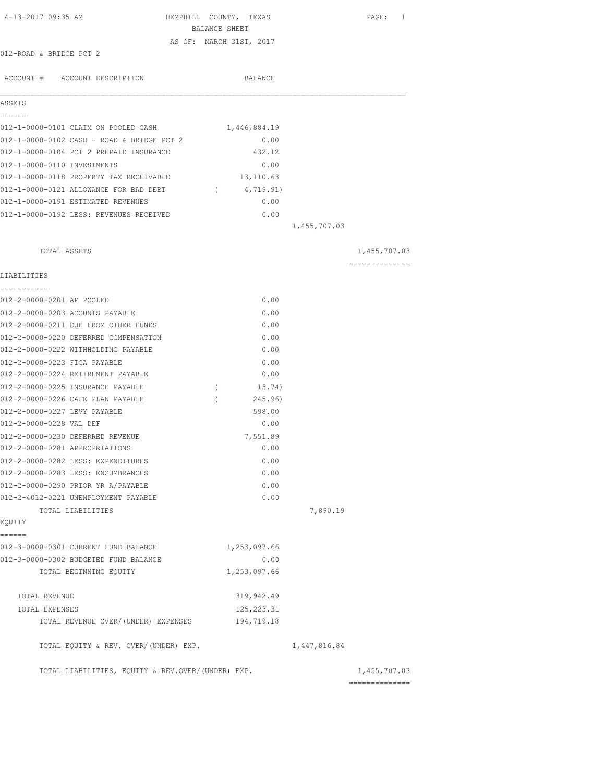| 4-13-2017 09:35 AM                                                 | HEMPHILL COUNTY, TEXAS<br>BALANCE SHEET | PAGE: 1        |
|--------------------------------------------------------------------|-----------------------------------------|----------------|
| 012-ROAD & BRIDGE PCT 2                                            | AS OF: MARCH 31ST, 2017                 |                |
|                                                                    |                                         |                |
| ACCOUNT # ACCOUNT DESCRIPTION                                      | <b>BALANCE</b>                          |                |
| ASSETS                                                             |                                         |                |
| ======<br>012-1-0000-0101 CLAIM ON POOLED CASH                     | 1,446,884.19                            |                |
| 012-1-0000-0102 CASH - ROAD & BRIDGE PCT 2                         | 0.00                                    |                |
| 012-1-0000-0104 PCT 2 PREPAID INSURANCE                            | 432.12                                  |                |
| 012-1-0000-0110 INVESTMENTS                                        | 0.00                                    |                |
| 012-1-0000-0118 PROPERTY TAX RECEIVABLE                            | 13,110.63                               |                |
| 012-1-0000-0121 ALLOWANCE FOR BAD DEBT                             | 4,719.91)<br>$\sqrt{2}$                 |                |
| 012-1-0000-0191 ESTIMATED REVENUES                                 | 0.00                                    |                |
| 012-1-0000-0192 LESS: REVENUES RECEIVED                            | 0.00                                    |                |
|                                                                    |                                         | 1,455,707.03   |
| TOTAL ASSETS                                                       |                                         | 1,455,707.03   |
| LIABILITIES                                                        |                                         | ============== |
|                                                                    |                                         |                |
| 012-2-0000-0201 AP POOLED                                          | 0.00                                    |                |
| 012-2-0000-0203 ACOUNTS PAYABLE                                    | 0.00                                    |                |
| 012-2-0000-0211 DUE FROM OTHER FUNDS                               | 0.00                                    |                |
| 012-2-0000-0220 DEFERRED COMPENSATION                              | 0.00                                    |                |
| 012-2-0000-0222 WITHHOLDING PAYABLE                                | 0.00                                    |                |
| 012-2-0000-0223 FICA PAYABLE<br>012-2-0000-0224 RETIREMENT PAYABLE | 0.00<br>0.00                            |                |
| 012-2-0000-0225 INSURANCE PAYABLE                                  | 13.74)                                  |                |
| 012-2-0000-0226 CAFE PLAN PAYABLE                                  | $\left($<br>245.96)                     |                |
| 012-2-0000-0227 LEVY PAYABLE                                       | 598.00                                  |                |
| 012-2-0000-0228 VAL DEF                                            | 0.00                                    |                |
| 012-2-0000-0230 DEFERRED REVENUE                                   | 7,551.89                                |                |
| 012-2-0000-0281 APPROPRIATIONS                                     | 0.00                                    |                |
| 012-2-0000-0282 LESS: EXPENDITURES                                 | 0.00                                    |                |
| 012-2-0000-0283 LESS: ENCUMBRANCES                                 | 0.00                                    |                |
| 012-2-0000-0290 PRIOR YR A/PAYABLE                                 | 0.00                                    |                |
| 012-2-4012-0221 UNEMPLOYMENT PAYABLE                               | 0.00                                    |                |
| TOTAL LIABILITIES                                                  |                                         | 7,890.19       |
| EQUITY                                                             |                                         |                |
| ======                                                             |                                         |                |
| 012-3-0000-0301 CURRENT FUND BALANCE                               | 1,253,097.66                            |                |
| 012-3-0000-0302 BUDGETED FUND BALANCE                              | 0.00                                    |                |
| TOTAL BEGINNING EQUITY                                             | 1,253,097.66                            |                |
| TOTAL REVENUE                                                      | 319,942.49                              |                |
| TOTAL EXPENSES                                                     | 125, 223.31                             |                |
| TOTAL REVENUE OVER/(UNDER) EXPENSES                                | 194,719.18                              |                |
| TOTAL EQUITY & REV. OVER/(UNDER) EXP.                              |                                         | 1,447,816.84   |
| TOTAL LIABILITIES, EQUITY & REV.OVER/(UNDER) EXP.                  |                                         | 1,455,707.03   |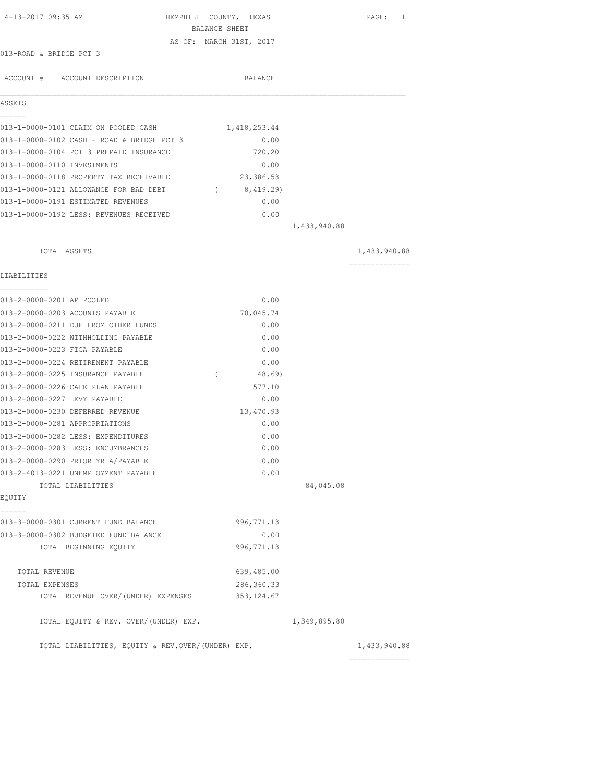| 4-13-2017 09:35 AM                                                  | HEMPHILL COUNTY, TEXAS |                         |              | $\mathtt{PAGE}$ :<br>1 |
|---------------------------------------------------------------------|------------------------|-------------------------|--------------|------------------------|
|                                                                     | BALANCE SHEET          | AS OF: MARCH 31ST, 2017 |              |                        |
| 013-ROAD & BRIDGE PCT 3                                             |                        |                         |              |                        |
|                                                                     |                        |                         |              |                        |
| ACCOUNT # ACCOUNT DESCRIPTION                                       |                        | BALANCE                 |              |                        |
| ASSETS                                                              |                        |                         |              |                        |
| ------<br>013-1-0000-0101 CLAIM ON POOLED CASH                      |                        | 1,418,253.44            |              |                        |
| 013-1-0000-0102 CASH - ROAD & BRIDGE PCT 3                          |                        | 0.00                    |              |                        |
| 013-1-0000-0104 PCT 3 PREPAID INSURANCE                             |                        | 720.20                  |              |                        |
| 013-1-0000-0110 INVESTMENTS                                         |                        | 0.00                    |              |                        |
| 013-1-0000-0118 PROPERTY TAX RECEIVABLE                             |                        | 23,386.53               |              |                        |
| 013-1-0000-0121 ALLOWANCE FOR BAD DEBT                              |                        | (8, 419.29)             |              |                        |
| 013-1-0000-0191 ESTIMATED REVENUES                                  |                        | 0.00                    |              |                        |
| 013-1-0000-0192 LESS: REVENUES RECEIVED                             |                        | 0.00                    |              |                        |
|                                                                     |                        |                         | 1,433,940.88 |                        |
| TOTAL ASSETS                                                        |                        |                         |              | 1,433,940.88           |
| LIABILITIES                                                         |                        |                         |              | ==============         |
| ___________                                                         |                        |                         |              |                        |
| 013-2-0000-0201 AP POOLED                                           |                        | 0.00                    |              |                        |
| 013-2-0000-0203 ACOUNTS PAYABLE                                     |                        | 70,045.74               |              |                        |
| 013-2-0000-0211 DUE FROM OTHER FUNDS                                |                        | 0.00                    |              |                        |
| 013-2-0000-0222 WITHHOLDING PAYABLE<br>013-2-0000-0223 FICA PAYABLE |                        | 0.00<br>0.00            |              |                        |
| 013-2-0000-0224 RETIREMENT PAYABLE                                  |                        | 0.00                    |              |                        |
| 013-2-0000-0225 INSURANCE PAYABLE                                   | $\left($               | 48.69)                  |              |                        |
| 013-2-0000-0226 CAFE PLAN PAYABLE                                   |                        | 577.10                  |              |                        |
| 013-2-0000-0227 LEVY PAYABLE                                        |                        | 0.00                    |              |                        |
| 013-2-0000-0230 DEFERRED REVENUE                                    |                        | 13,470.93               |              |                        |
| 013-2-0000-0281 APPROPRIATIONS                                      |                        | 0.00                    |              |                        |
| 013-2-0000-0282 LESS: EXPENDITURES                                  |                        | 0.00                    |              |                        |
| 013-2-0000-0283 LESS: ENCUMBRANCES                                  |                        | 0.00                    |              |                        |
| 013-2-0000-0290 PRIOR YR A/PAYABLE                                  |                        | 0.00                    |              |                        |
| 013-2-4013-0221 UNEMPLOYMENT PAYABLE                                |                        | 0.00                    |              |                        |
| TOTAL LIABILITIES                                                   |                        |                         | 84,045.08    |                        |
| EQUITY                                                              |                        |                         |              |                        |
| ======<br>013-3-0000-0301 CURRENT FUND BALANCE                      |                        | 996, 771.13             |              |                        |
| 013-3-0000-0302 BUDGETED FUND BALANCE                               |                        | 0.00                    |              |                        |
| TOTAL BEGINNING EQUITY                                              |                        | 996, 771.13             |              |                        |
| TOTAL REVENUE                                                       |                        | 639,485.00              |              |                        |
| TOTAL EXPENSES                                                      |                        | 286, 360. 33            |              |                        |
| TOTAL REVENUE OVER/(UNDER) EXPENSES                                 |                        | 353, 124.67             |              |                        |
| TOTAL EQUITY & REV. OVER/(UNDER) EXP.                               |                        |                         | 1,349,895.80 |                        |
| TOTAL LIABILITIES, EQUITY & REV.OVER/(UNDER) EXP.                   |                        |                         |              | 1,433,940.88           |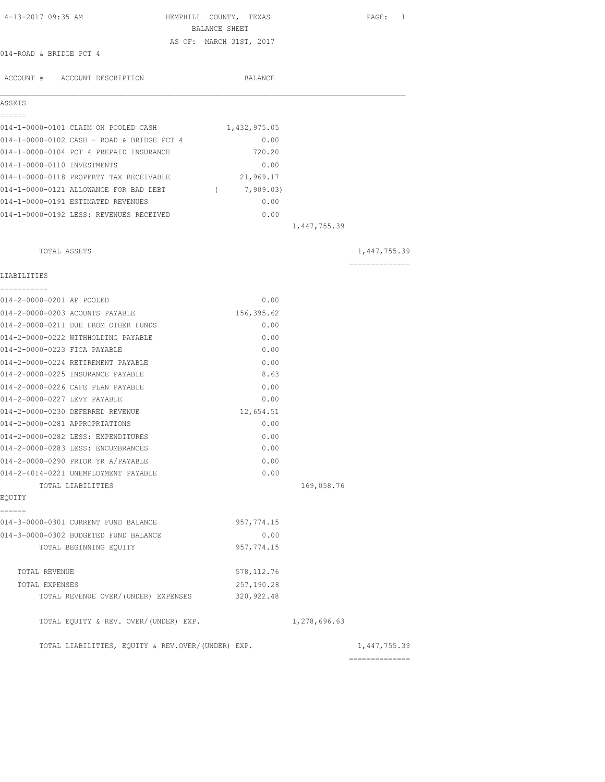| 4-13-2017 09:35 AM                                | HEMPHILL COUNTY, TEXAS<br>BALANCE SHEET |              | PAGE: 1        |
|---------------------------------------------------|-----------------------------------------|--------------|----------------|
|                                                   | AS OF: MARCH 31ST, 2017                 |              |                |
| 014-ROAD & BRIDGE PCT 4                           |                                         |              |                |
|                                                   |                                         |              |                |
| ACCOUNT # ACCOUNT DESCRIPTION                     | BALANCE                                 |              |                |
| ASSETS                                            |                                         |              |                |
| ------                                            |                                         |              |                |
| 014-1-0000-0101 CLAIM ON POOLED CASH              | 1,432,975.05                            |              |                |
| 014-1-0000-0102 CASH - ROAD & BRIDGE PCT 4        | 0.00                                    |              |                |
| 014-1-0000-0104 PCT 4 PREPAID INSURANCE           | 720.20                                  |              |                |
| 014-1-0000-0110 INVESTMENTS                       | 0.00                                    |              |                |
| 014-1-0000-0118 PROPERTY TAX RECEIVABLE           | 21,969.17                               |              |                |
| 014-1-0000-0121 ALLOWANCE FOR BAD DEBT            | (7, 909.03)                             |              |                |
| 014-1-0000-0191 ESTIMATED REVENUES                | 0.00                                    |              |                |
| 014-1-0000-0192 LESS: REVENUES RECEIVED           | 0.00                                    |              |                |
|                                                   |                                         | 1,447,755.39 |                |
| TOTAL ASSETS                                      |                                         |              | 1,447,755.39   |
|                                                   |                                         |              | ============== |
| LIABILITIES                                       |                                         |              |                |
| ___________<br>014-2-0000-0201 AP POOLED          | 0.00                                    |              |                |
| 014-2-0000-0203 ACOUNTS PAYABLE                   | 156,395.62                              |              |                |
| 014-2-0000-0211 DUE FROM OTHER FUNDS              | 0.00                                    |              |                |
| 014-2-0000-0222 WITHHOLDING PAYABLE               | 0.00                                    |              |                |
| 014-2-0000-0223 FICA PAYABLE                      | 0.00                                    |              |                |
| 014-2-0000-0224 RETIREMENT PAYABLE                | 0.00                                    |              |                |
| 014-2-0000-0225 INSURANCE PAYABLE                 | 8.63                                    |              |                |
| 014-2-0000-0226 CAFE PLAN PAYABLE                 | 0.00                                    |              |                |
| 014-2-0000-0227 LEVY PAYABLE                      | 0.00                                    |              |                |
| 014-2-0000-0230 DEFERRED REVENUE                  | 12,654.51                               |              |                |
| 014-2-0000-0281 APPROPRIATIONS                    | 0.00                                    |              |                |
| 014-2-0000-0282 LESS: EXPENDITURES                | 0.00                                    |              |                |
| 014-2-0000-0283 LESS: ENCUMBRANCES                | 0.00                                    |              |                |
| 014-2-0000-0290 PRIOR YR A/PAYABLE                | 0.00                                    |              |                |
| 014-2-4014-0221 UNEMPLOYMENT PAYABLE              | 0.00                                    |              |                |
| TOTAL LIABILITIES                                 |                                         | 169,058.76   |                |
| EQUITY                                            |                                         |              |                |
| ------<br>014-3-0000-0301 CURRENT FUND BALANCE    | 957, 774.15                             |              |                |
| 014-3-0000-0302 BUDGETED FUND BALANCE             | 0.00                                    |              |                |
| TOTAL BEGINNING EQUITY                            | 957, 774.15                             |              |                |
|                                                   |                                         |              |                |
| TOTAL REVENUE                                     | 578, 112.76                             |              |                |
| TOTAL EXPENSES                                    | 257,190.28                              |              |                |
| TOTAL REVENUE OVER/(UNDER) EXPENSES               | 320, 922.48                             |              |                |
| TOTAL EQUITY & REV. OVER/(UNDER) EXP.             |                                         | 1,278,696.63 |                |
| TOTAL LIABILITIES, EQUITY & REV.OVER/(UNDER) EXP. |                                         |              | 1,447,755.39   |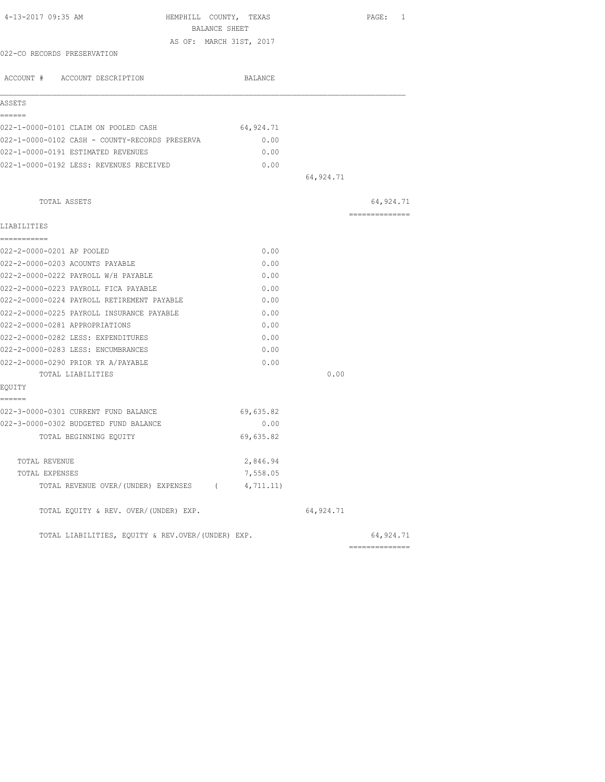| 4-13-2017 09:35 AM<br>HEMPHILL COUNTY, TEXAS      |           |            | PAGE: 1        |
|---------------------------------------------------|-----------|------------|----------------|
| BALANCE SHEET                                     |           |            |                |
| AS OF: MARCH 31ST, 2017                           |           |            |                |
| 022-CO RECORDS PRESERVATION                       |           |            |                |
| ACCOUNT # ACCOUNT DESCRIPTION                     | BALANCE   |            |                |
| ASSETS                                            |           |            |                |
| ------                                            |           |            |                |
| 022-1-0000-0101 CLAIM ON POOLED CASH              | 64,924.71 |            |                |
| 022-1-0000-0102 CASH - COUNTY-RECORDS PRESERVA    | 0.00      |            |                |
| 022-1-0000-0191 ESTIMATED REVENUES                | 0.00      |            |                |
| 022-1-0000-0192 LESS: REVENUES RECEIVED           | 0.00      |            |                |
|                                                   |           | 64,924.71  |                |
| TOTAL ASSETS                                      |           |            | 64,924.71      |
|                                                   |           |            | ============== |
| LIABILITIES<br>-----------                        |           |            |                |
| 022-2-0000-0201 AP POOLED                         | 0.00      |            |                |
| 022-2-0000-0203 ACOUNTS PAYABLE                   | 0.00      |            |                |
| 022-2-0000-0222 PAYROLL W/H PAYABLE               | 0.00      |            |                |
| 022-2-0000-0223 PAYROLL FICA PAYABLE              | 0.00      |            |                |
| 022-2-0000-0224 PAYROLL RETIREMENT PAYABLE        | 0.00      |            |                |
| 022-2-0000-0225 PAYROLL INSURANCE PAYABLE         | 0.00      |            |                |
| 022-2-0000-0281 APPROPRIATIONS                    | 0.00      |            |                |
| 022-2-0000-0282 LESS: EXPENDITURES                | 0.00      |            |                |
| 022-2-0000-0283 LESS: ENCUMBRANCES                | 0.00      |            |                |
| 022-2-0000-0290 PRIOR YR A/PAYABLE                | 0.00      |            |                |
| TOTAL LIABILITIES                                 |           | 0.00       |                |
| EQUITY                                            |           |            |                |
| ======                                            |           |            |                |
| 022-3-0000-0301 CURRENT FUND BALANCE              | 69,635.82 |            |                |
| 022-3-0000-0302 BUDGETED FUND BALANCE             | 0.00      |            |                |
| TOTAL BEGINNING EQUITY                            | 69,635.82 |            |                |
| TOTAL REVENUE                                     | 2,846.94  |            |                |
| TOTAL EXPENSES                                    | 7,558.05  |            |                |
| TOTAL REVENUE OVER/(UNDER) EXPENSES (4,711.11)    |           |            |                |
| TOTAL EQUITY & REV. OVER/(UNDER) EXP.             |           | 64, 924.71 |                |
| TOTAL LIABILITIES, EQUITY & REV.OVER/(UNDER) EXP. |           |            | 64,924.71      |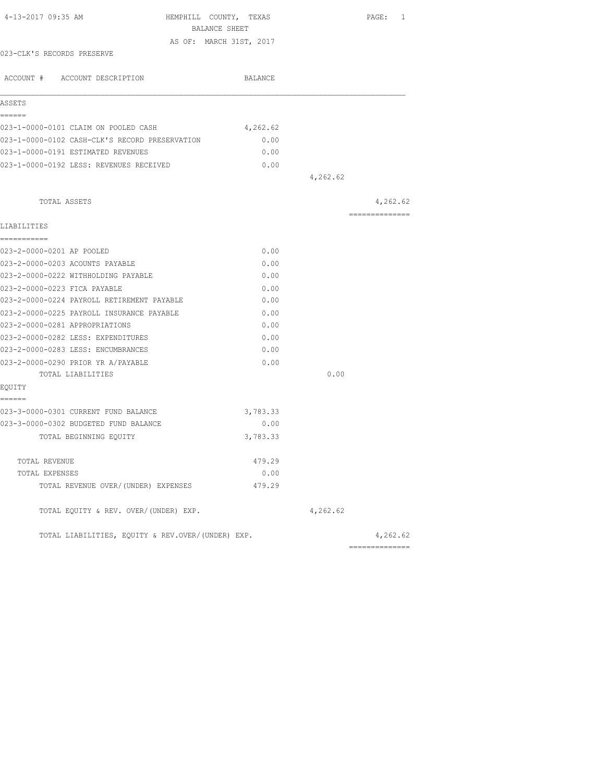| 4-13-2017 09:35 AM<br>HEMPHILL COUNTY, TEXAS      |          |          | PAGE: 1         |
|---------------------------------------------------|----------|----------|-----------------|
| BALANCE SHEET                                     |          |          |                 |
| AS OF: MARCH 31ST, 2017                           |          |          |                 |
| 023-CLK'S RECORDS PRESERVE                        |          |          |                 |
| ACCOUNT # ACCOUNT DESCRIPTION                     | BALANCE  |          |                 |
| ASSETS                                            |          |          |                 |
| ======<br>023-1-0000-0101 CLAIM ON POOLED CASH    | 4,262.62 |          |                 |
|                                                   |          |          |                 |
| 023-1-0000-0102 CASH-CLK'S RECORD PRESERVATION    | 0.00     |          |                 |
| 023-1-0000-0191 ESTIMATED REVENUES                | 0.00     |          |                 |
| 023-1-0000-0192 LESS: REVENUES RECEIVED           | 0.00     | 4,262.62 |                 |
|                                                   |          |          |                 |
| TOTAL ASSETS                                      |          |          | 4,262.62        |
| LIABILITIES                                       |          |          | --------------- |
| ===========                                       |          |          |                 |
| 023-2-0000-0201 AP POOLED                         | 0.00     |          |                 |
| 023-2-0000-0203 ACOUNTS PAYABLE                   | 0.00     |          |                 |
| 023-2-0000-0222 WITHHOLDING PAYABLE               | 0.00     |          |                 |
| 023-2-0000-0223 FICA PAYABLE                      | 0.00     |          |                 |
| 023-2-0000-0224 PAYROLL RETIREMENT PAYABLE        | 0.00     |          |                 |
| 023-2-0000-0225 PAYROLL INSURANCE PAYABLE         | 0.00     |          |                 |
| 023-2-0000-0281 APPROPRIATIONS                    | 0.00     |          |                 |
| 023-2-0000-0282 LESS: EXPENDITURES                | 0.00     |          |                 |
| 023-2-0000-0283 LESS: ENCUMBRANCES                | 0.00     |          |                 |
| 023-2-0000-0290 PRIOR YR A/PAYABLE                | 0.00     |          |                 |
| TOTAL LIABILITIES                                 |          | 0.00     |                 |
| EQUITY                                            |          |          |                 |
| ======<br>023-3-0000-0301 CURRENT FUND BALANCE    |          |          |                 |
|                                                   | 3,783.33 |          |                 |
| 023-3-0000-0302 BUDGETED FUND BALANCE             | 0.00     |          |                 |
| TOTAL BEGINNING EQUITY                            | 3,783.33 |          |                 |
| TOTAL REVENUE                                     | 479.29   |          |                 |
| TOTAL EXPENSES                                    | 0.00     |          |                 |
| TOTAL REVENUE OVER/(UNDER) EXPENSES               | 479.29   |          |                 |
| TOTAL EQUITY & REV. OVER/(UNDER) EXP.             |          | 4,262.62 |                 |
| TOTAL LIABILITIES, EQUITY & REV.OVER/(UNDER) EXP. |          |          | 4,262.62        |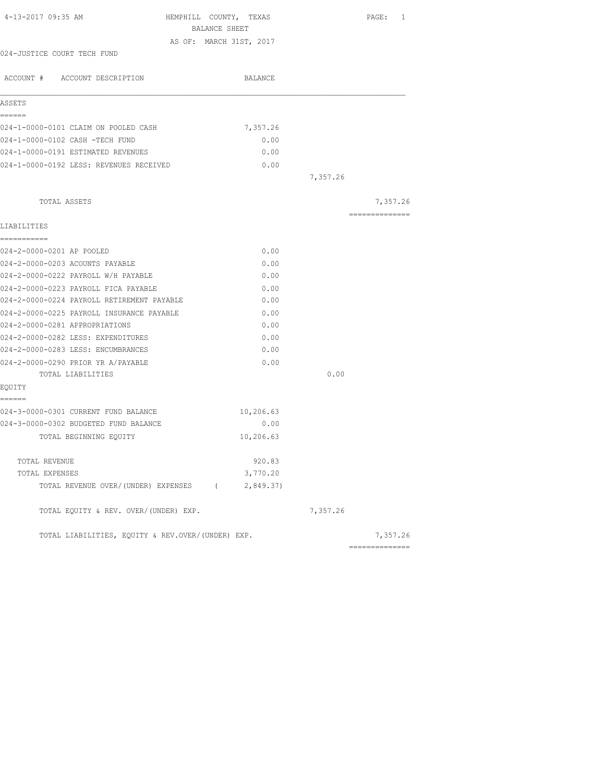|                                                   | BALANCE SHEET           |          |                |
|---------------------------------------------------|-------------------------|----------|----------------|
|                                                   |                         |          |                |
| 024-JUSTICE COURT TECH FUND                       | AS OF: MARCH 31ST, 2017 |          |                |
|                                                   |                         |          |                |
| ACCOUNT # ACCOUNT DESCRIPTION                     | BALANCE                 |          |                |
| ASSETS                                            |                         |          |                |
| ======                                            |                         |          |                |
| 024-1-0000-0101 CLAIM ON POOLED CASH              | 7,357.26                |          |                |
| 024-1-0000-0102 CASH -TECH FUND                   | 0.00                    |          |                |
| 024-1-0000-0191 ESTIMATED REVENUES                | 0.00                    |          |                |
| 024-1-0000-0192 LESS: REVENUES RECEIVED           | 0.00                    |          |                |
|                                                   |                         | 7,357.26 |                |
| TOTAL ASSETS                                      |                         |          | 7,357.26       |
|                                                   |                         |          | ============== |
| LIABILITIES                                       |                         |          |                |
| ------------                                      |                         |          |                |
| 024-2-0000-0201 AP POOLED                         | 0.00                    |          |                |
| 024-2-0000-0203 ACOUNTS PAYABLE                   | 0.00                    |          |                |
| 024-2-0000-0222 PAYROLL W/H PAYABLE               | 0.00                    |          |                |
| 024-2-0000-0223 PAYROLL FICA PAYABLE              | 0.00                    |          |                |
| 024-2-0000-0224 PAYROLL RETIREMENT PAYABLE        | 0.00                    |          |                |
| 024-2-0000-0225 PAYROLL INSURANCE PAYABLE         | 0.00                    |          |                |
| 024-2-0000-0281 APPROPRIATIONS                    | 0.00                    |          |                |
| 024-2-0000-0282 LESS: EXPENDITURES                | 0.00                    |          |                |
| 024-2-0000-0283 LESS: ENCUMBRANCES                | 0.00                    |          |                |
| 024-2-0000-0290 PRIOR YR A/PAYABLE                | 0.00                    |          |                |
| TOTAL LIABILITIES                                 |                         | 0.00     |                |
| EQUITY                                            |                         |          |                |
| ======<br>024-3-0000-0301 CURRENT FUND BALANCE    | 10,206.63               |          |                |
| 024-3-0000-0302 BUDGETED FUND BALANCE             | 0.00                    |          |                |
| TOTAL BEGINNING EQUITY                            | 10,206.63               |          |                |
| TOTAL REVENUE                                     | 920.83                  |          |                |
| TOTAL EXPENSES                                    | 3,770.20                |          |                |
| TOTAL REVENUE OVER/(UNDER) EXPENSES (2,849.37)    |                         |          |                |
| TOTAL EQUITY & REV. OVER/(UNDER) EXP.             |                         | 7,357.26 |                |
| TOTAL LIABILITIES, EQUITY & REV.OVER/(UNDER) EXP. |                         |          | 7,357.26       |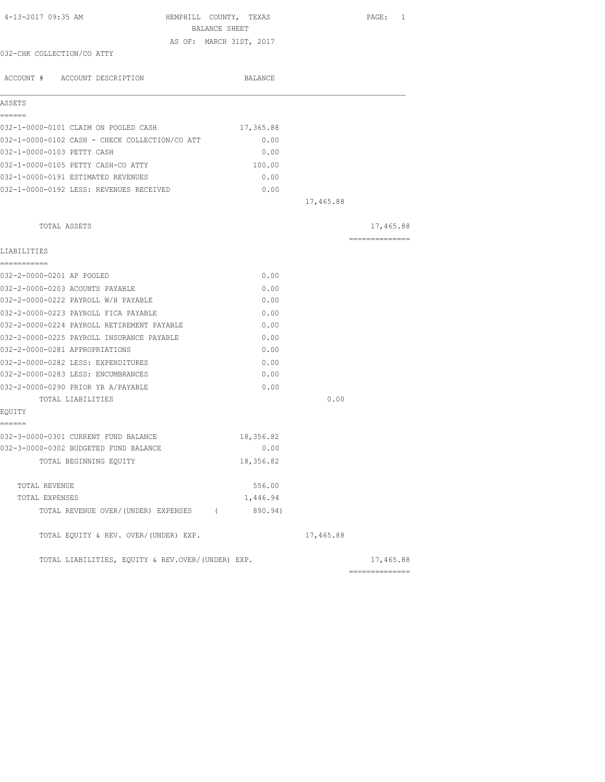| 4-13-2017 09:35 AM                                | HEMPHILL COUNTY, TEXAS<br>BALANCE SHEET |           | PAGE: 1         |
|---------------------------------------------------|-----------------------------------------|-----------|-----------------|
|                                                   | AS OF: MARCH 31ST, 2017                 |           |                 |
| 032-CHK COLLECTION/CO ATTY                        |                                         |           |                 |
| ACCOUNT # ACCOUNT DESCRIPTION                     | <b>BALANCE</b>                          |           |                 |
| ASSETS                                            |                                         |           |                 |
| ======                                            |                                         |           |                 |
| 032-1-0000-0101 CLAIM ON POOLED CASH              | 17,365.88                               |           |                 |
| 032-1-0000-0102 CASH - CHECK COLLECTION/CO ATT    | 0.00                                    |           |                 |
| 032-1-0000-0103 PETTY CASH                        | 0.00                                    |           |                 |
| 032-1-0000-0105 PETTY CASH-CO ATTY                | 100.00                                  |           |                 |
| 032-1-0000-0191 ESTIMATED REVENUES                | 0.00                                    |           |                 |
| 032-1-0000-0192 LESS: REVENUES RECEIVED           | 0.00                                    |           |                 |
|                                                   |                                         | 17,465.88 |                 |
| TOTAL ASSETS                                      |                                         |           | 17,465.88       |
| LIABILITIES                                       |                                         |           | =============== |
| ===========                                       |                                         |           |                 |
| 032-2-0000-0201 AP POOLED                         | 0.00                                    |           |                 |
| 032-2-0000-0203 ACOUNTS PAYABLE                   | 0.00                                    |           |                 |
| 032-2-0000-0222 PAYROLL W/H PAYABLE               | 0.00                                    |           |                 |
| 032-2-0000-0223 PAYROLL FICA PAYABLE              | 0.00                                    |           |                 |
| 032-2-0000-0224 PAYROLL RETIREMENT PAYABLE        | 0.00                                    |           |                 |
| 032-2-0000-0225 PAYROLL INSURANCE PAYABLE         | 0.00                                    |           |                 |
| 032-2-0000-0281 APPROPRIATIONS                    | 0.00                                    |           |                 |
| 032-2-0000-0282 LESS: EXPENDITURES                | 0.00                                    |           |                 |
| 032-2-0000-0283 LESS: ENCUMBRANCES                | 0.00                                    |           |                 |
| 032-2-0000-0290 PRIOR YR A/PAYABLE                | 0.00                                    |           |                 |
| TOTAL LIABILITIES                                 |                                         | 0.00      |                 |
| EQUITY                                            |                                         |           |                 |
| ------<br>032-3-0000-0301 CURRENT FUND BALANCE    | 18,356.82                               |           |                 |
| 032-3-0000-0302 BUDGETED FUND BALANCE             | 0.00                                    |           |                 |
| TOTAL BEGINNING EQUITY                            | 18,356.82                               |           |                 |
|                                                   |                                         |           |                 |
| TOTAL REVENUE                                     | 556.00                                  |           |                 |
| TOTAL EXPENSES                                    | 1,446.94                                |           |                 |
| TOTAL REVENUE OVER/(UNDER) EXPENSES (             | 890.94)                                 |           |                 |
| TOTAL EQUITY & REV. OVER/(UNDER) EXP.             |                                         | 17,465.88 |                 |
| TOTAL LIABILITIES, EQUITY & REV.OVER/(UNDER) EXP. |                                         |           | 17,465.88       |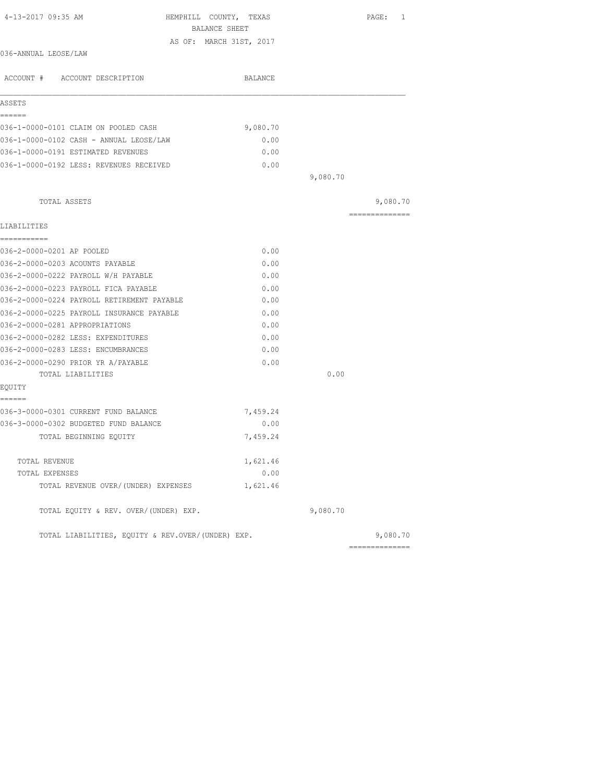| 4-13-2017 09:35 AM                                | HEMPHILL COUNTY, TEXAS<br>BALANCE SHEET |          | PAGE: 1        |
|---------------------------------------------------|-----------------------------------------|----------|----------------|
|                                                   | AS OF: MARCH 31ST, 2017                 |          |                |
| 036-ANNUAL LEOSE/LAW                              |                                         |          |                |
| ACCOUNT # ACCOUNT DESCRIPTION                     | BALANCE                                 |          |                |
|                                                   |                                         |          |                |
| ASSETS                                            |                                         |          |                |
| ------                                            |                                         |          |                |
| 036-1-0000-0101 CLAIM ON POOLED CASH              | 9,080.70                                |          |                |
| 036-1-0000-0102 CASH - ANNUAL LEOSE/LAW           | 0.00                                    |          |                |
| 036-1-0000-0191 ESTIMATED REVENUES                | 0.00                                    |          |                |
| 036-1-0000-0192 LESS: REVENUES RECEIVED           | 0.00                                    |          |                |
|                                                   |                                         | 9,080.70 |                |
| TOTAL ASSETS                                      |                                         |          | 9,080.70       |
|                                                   |                                         |          | ============== |
| LIABILITIES                                       |                                         |          |                |
| -----------                                       |                                         |          |                |
| 036-2-0000-0201 AP POOLED                         | 0.00                                    |          |                |
| 036-2-0000-0203 ACOUNTS PAYABLE                   | 0.00                                    |          |                |
| 036-2-0000-0222 PAYROLL W/H PAYABLE               | 0.00                                    |          |                |
| 036-2-0000-0223 PAYROLL FICA PAYABLE              | 0.00                                    |          |                |
| 036-2-0000-0224 PAYROLL RETIREMENT PAYABLE        | 0.00                                    |          |                |
| 036-2-0000-0225 PAYROLL INSURANCE PAYABLE         | 0.00                                    |          |                |
| 036-2-0000-0281 APPROPRIATIONS                    | 0.00                                    |          |                |
| 036-2-0000-0282 LESS: EXPENDITURES                | 0.00                                    |          |                |
| 036-2-0000-0283 LESS: ENCUMBRANCES                | 0.00                                    |          |                |
| 036-2-0000-0290 PRIOR YR A/PAYABLE                | 0.00                                    |          |                |
| TOTAL LIABILITIES                                 |                                         | 0.00     |                |
| EQUITY                                            |                                         |          |                |
| ======                                            |                                         |          |                |
| 036-3-0000-0301 CURRENT FUND BALANCE              | 7,459.24                                |          |                |
| 036-3-0000-0302 BUDGETED FUND BALANCE             | 0.00                                    |          |                |
| TOTAL BEGINNING EQUITY                            | 7,459.24                                |          |                |
| TOTAL REVENUE                                     | 1,621.46                                |          |                |
| TOTAL EXPENSES                                    | 0.00                                    |          |                |
| TOTAL REVENUE OVER/(UNDER) EXPENSES               | 1,621.46                                |          |                |
| TOTAL EQUITY & REV. OVER/(UNDER) EXP.             |                                         | 9,080.70 |                |
| TOTAL LIABILITIES, EOUITY & REV.OVER/(UNDER) EXP. |                                         |          | 9,080.70       |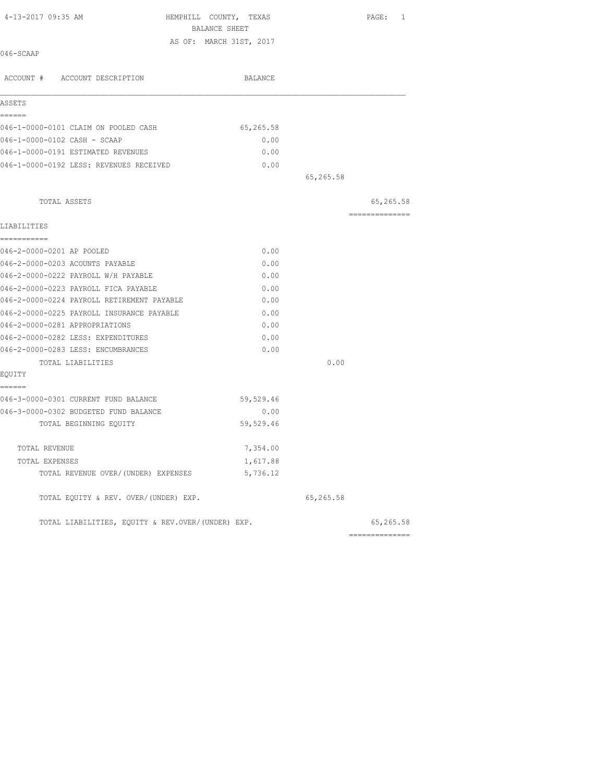| 4-13-2017 09:35 AM                                | HEMPHILL COUNTY, TEXAS<br>BALANCE SHEET |           | PAGE: 1        |
|---------------------------------------------------|-----------------------------------------|-----------|----------------|
|                                                   | AS OF: MARCH 31ST, 2017                 |           |                |
| 046-SCAAP                                         |                                         |           |                |
| ACCOUNT # ACCOUNT DESCRIPTION                     | BALANCE                                 |           |                |
| ASSETS                                            |                                         |           |                |
| ======                                            |                                         |           |                |
| 046-1-0000-0101 CLAIM ON POOLED CASH              | 65,265.58                               |           |                |
| 046-1-0000-0102 CASH - SCAAP                      | 0.00                                    |           |                |
| 046-1-0000-0191 ESTIMATED REVENUES                | 0.00                                    |           |                |
| 046-1-0000-0192 LESS: REVENUES RECEIVED           | 0.00                                    |           |                |
|                                                   |                                         | 65,265.58 |                |
| TOTAL ASSETS                                      |                                         |           | 65,265.58      |
|                                                   |                                         |           | ============== |
| LIABILITIES<br>===========                        |                                         |           |                |
| 046-2-0000-0201 AP POOLED                         | 0.00                                    |           |                |
| 046-2-0000-0203 ACOUNTS PAYABLE                   | 0.00                                    |           |                |
| 046-2-0000-0222 PAYROLL W/H PAYABLE               | 0.00                                    |           |                |
| 046-2-0000-0223 PAYROLL FICA PAYABLE              | 0.00                                    |           |                |
| 046-2-0000-0224 PAYROLL RETIREMENT PAYABLE        | 0.00                                    |           |                |
| 046-2-0000-0225 PAYROLL INSURANCE PAYABLE         | 0.00                                    |           |                |
| 046-2-0000-0281 APPROPRIATIONS                    | 0.00                                    |           |                |
| 046-2-0000-0282 LESS: EXPENDITURES                | 0.00                                    |           |                |
| 046-2-0000-0283 LESS: ENCUMBRANCES                | 0.00                                    |           |                |
| TOTAL LIABILITIES                                 |                                         | 0.00      |                |
| EQUITY                                            |                                         |           |                |
| ======                                            |                                         |           |                |
| 046-3-0000-0301 CURRENT FUND BALANCE              | 59,529.46                               |           |                |
| 046-3-0000-0302 BUDGETED FUND BALANCE             | 0.00                                    |           |                |
| TOTAL BEGINNING EOUITY                            | 59,529.46                               |           |                |
| TOTAL REVENUE                                     | 7,354.00                                |           |                |
| TOTAL EXPENSES                                    | 1,617.88                                |           |                |
| TOTAL REVENUE OVER/(UNDER) EXPENSES               | 5,736.12                                |           |                |
| TOTAL EQUITY & REV. OVER/(UNDER) EXP.             |                                         | 65,265.58 |                |
| TOTAL LIABILITIES, EOUITY & REV.OVER/(UNDER) EXP. |                                         |           | 65,265.58      |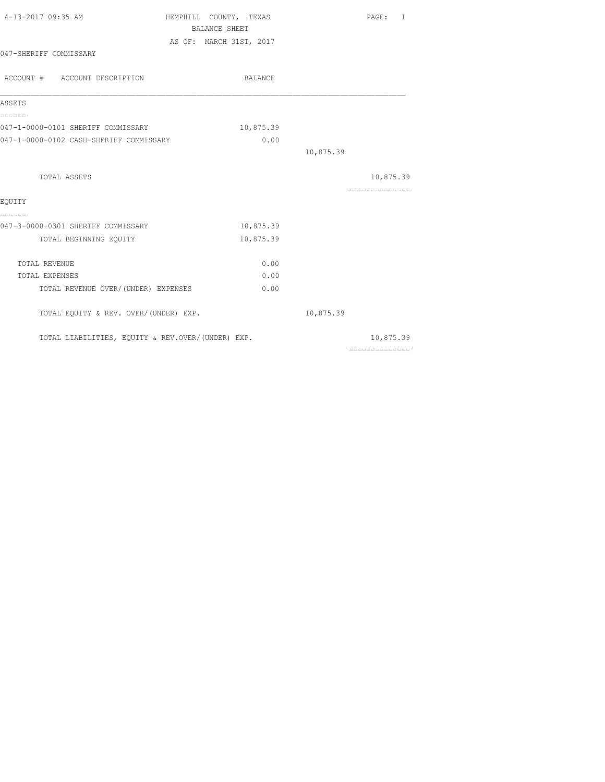| 4-13-2017 09:35 AM                                | HEMPHILL COUNTY, TEXAS  |           | PAGE: 1                                                                                                                                                                                                                                                                                                                                                                                                                                                                                |
|---------------------------------------------------|-------------------------|-----------|----------------------------------------------------------------------------------------------------------------------------------------------------------------------------------------------------------------------------------------------------------------------------------------------------------------------------------------------------------------------------------------------------------------------------------------------------------------------------------------|
|                                                   | <b>BALANCE SHEET</b>    |           |                                                                                                                                                                                                                                                                                                                                                                                                                                                                                        |
|                                                   | AS OF: MARCH 31ST, 2017 |           |                                                                                                                                                                                                                                                                                                                                                                                                                                                                                        |
| 047-SHERIFF COMMISSARY                            |                         |           |                                                                                                                                                                                                                                                                                                                                                                                                                                                                                        |
| ACCOUNT # ACCOUNT DESCRIPTION                     | BALANCE                 |           |                                                                                                                                                                                                                                                                                                                                                                                                                                                                                        |
| ASSETS                                            |                         |           |                                                                                                                                                                                                                                                                                                                                                                                                                                                                                        |
| ======<br>047-1-0000-0101 SHERIFF COMMISSARY      | 10,875.39               |           |                                                                                                                                                                                                                                                                                                                                                                                                                                                                                        |
| 047-1-0000-0102 CASH-SHERIFF COMMISSARY           | 0.00                    |           |                                                                                                                                                                                                                                                                                                                                                                                                                                                                                        |
|                                                   |                         | 10,875.39 |                                                                                                                                                                                                                                                                                                                                                                                                                                                                                        |
| TOTAL ASSETS                                      |                         |           | 10,875.39                                                                                                                                                                                                                                                                                                                                                                                                                                                                              |
|                                                   |                         |           | ---------------                                                                                                                                                                                                                                                                                                                                                                                                                                                                        |
| EOUITY                                            |                         |           |                                                                                                                                                                                                                                                                                                                                                                                                                                                                                        |
| ======<br>047-3-0000-0301 SHERIFF COMMISSARY      | 10,875.39               |           |                                                                                                                                                                                                                                                                                                                                                                                                                                                                                        |
| TOTAL BEGINNING EQUITY                            | 10,875.39               |           |                                                                                                                                                                                                                                                                                                                                                                                                                                                                                        |
| <b>TOTAL REVENUE</b>                              | 0.00                    |           |                                                                                                                                                                                                                                                                                                                                                                                                                                                                                        |
| TOTAL EXPENSES                                    | 0.00                    |           |                                                                                                                                                                                                                                                                                                                                                                                                                                                                                        |
| TOTAL REVENUE OVER/(UNDER) EXPENSES               | 0.00                    |           |                                                                                                                                                                                                                                                                                                                                                                                                                                                                                        |
| TOTAL EQUITY & REV. OVER/(UNDER) EXP.             |                         | 10,875.39 |                                                                                                                                                                                                                                                                                                                                                                                                                                                                                        |
| TOTAL LIABILITIES, EQUITY & REV.OVER/(UNDER) EXP. |                         |           | 10,875.39                                                                                                                                                                                                                                                                                                                                                                                                                                                                              |
|                                                   |                         |           | $\begin{array}{cccccccccccccc} \multicolumn{2}{c}{} & \multicolumn{2}{c}{} & \multicolumn{2}{c}{} & \multicolumn{2}{c}{} & \multicolumn{2}{c}{} & \multicolumn{2}{c}{} & \multicolumn{2}{c}{} & \multicolumn{2}{c}{} & \multicolumn{2}{c}{} & \multicolumn{2}{c}{} & \multicolumn{2}{c}{} & \multicolumn{2}{c}{} & \multicolumn{2}{c}{} & \multicolumn{2}{c}{} & \multicolumn{2}{c}{} & \multicolumn{2}{c}{} & \multicolumn{2}{c}{} & \multicolumn{2}{c}{} & \multicolumn{2}{c}{} & \$ |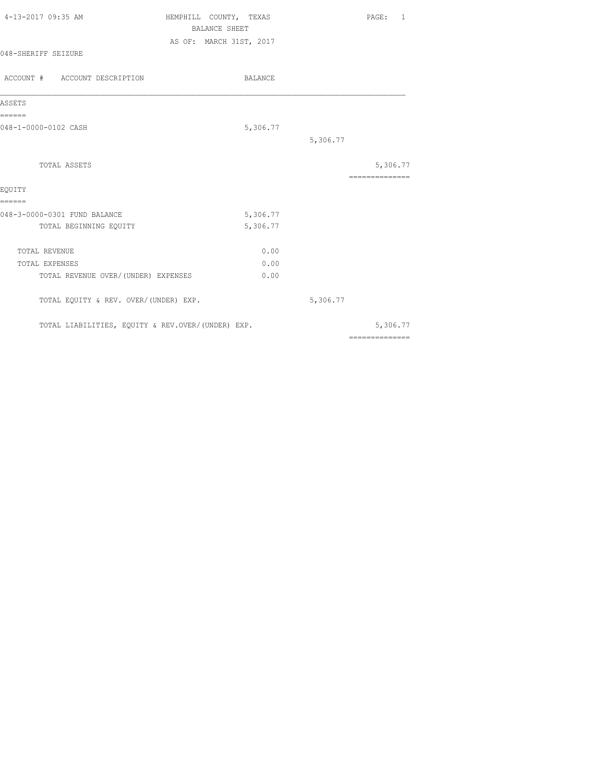| 4-13-2017 09:35 AM                                | HEMPHILL COUNTY, TEXAS                          | PAGE: 1                                                                                                                                                                                                                                                                                                                                                                                                                                                                                |
|---------------------------------------------------|-------------------------------------------------|----------------------------------------------------------------------------------------------------------------------------------------------------------------------------------------------------------------------------------------------------------------------------------------------------------------------------------------------------------------------------------------------------------------------------------------------------------------------------------------|
|                                                   | <b>BALANCE SHEET</b><br>AS OF: MARCH 31ST, 2017 |                                                                                                                                                                                                                                                                                                                                                                                                                                                                                        |
| 048-SHERIFF SEIZURE                               |                                                 |                                                                                                                                                                                                                                                                                                                                                                                                                                                                                        |
| ACCOUNT # ACCOUNT DESCRIPTION                     | <b>BALANCE</b>                                  |                                                                                                                                                                                                                                                                                                                                                                                                                                                                                        |
| ASSETS                                            |                                                 |                                                                                                                                                                                                                                                                                                                                                                                                                                                                                        |
| ======<br>048-1-0000-0102 CASH                    | 5,306.77                                        |                                                                                                                                                                                                                                                                                                                                                                                                                                                                                        |
|                                                   |                                                 | 5,306.77                                                                                                                                                                                                                                                                                                                                                                                                                                                                               |
| TOTAL ASSETS                                      |                                                 | 5,306.77                                                                                                                                                                                                                                                                                                                                                                                                                                                                               |
| EOUITY                                            |                                                 | ==============                                                                                                                                                                                                                                                                                                                                                                                                                                                                         |
| ======                                            |                                                 |                                                                                                                                                                                                                                                                                                                                                                                                                                                                                        |
| 048-3-0000-0301 FUND BALANCE                      | 5,306.77                                        |                                                                                                                                                                                                                                                                                                                                                                                                                                                                                        |
| TOTAL BEGINNING EQUITY                            | 5,306.77                                        |                                                                                                                                                                                                                                                                                                                                                                                                                                                                                        |
| TOTAL REVENUE                                     | 0.00                                            |                                                                                                                                                                                                                                                                                                                                                                                                                                                                                        |
| TOTAL EXPENSES                                    | 0.00                                            |                                                                                                                                                                                                                                                                                                                                                                                                                                                                                        |
| TOTAL REVENUE OVER/(UNDER) EXPENSES               | 0.00                                            |                                                                                                                                                                                                                                                                                                                                                                                                                                                                                        |
| TOTAL EQUITY & REV. OVER/(UNDER) EXP.             |                                                 | 5,306.77                                                                                                                                                                                                                                                                                                                                                                                                                                                                               |
| TOTAL LIABILITIES, EQUITY & REV.OVER/(UNDER) EXP. |                                                 | 5,306.77                                                                                                                                                                                                                                                                                                                                                                                                                                                                               |
|                                                   |                                                 | $\begin{array}{cccccccccccccc} \multicolumn{2}{c}{} & \multicolumn{2}{c}{} & \multicolumn{2}{c}{} & \multicolumn{2}{c}{} & \multicolumn{2}{c}{} & \multicolumn{2}{c}{} & \multicolumn{2}{c}{} & \multicolumn{2}{c}{} & \multicolumn{2}{c}{} & \multicolumn{2}{c}{} & \multicolumn{2}{c}{} & \multicolumn{2}{c}{} & \multicolumn{2}{c}{} & \multicolumn{2}{c}{} & \multicolumn{2}{c}{} & \multicolumn{2}{c}{} & \multicolumn{2}{c}{} & \multicolumn{2}{c}{} & \multicolumn{2}{c}{} & \$ |